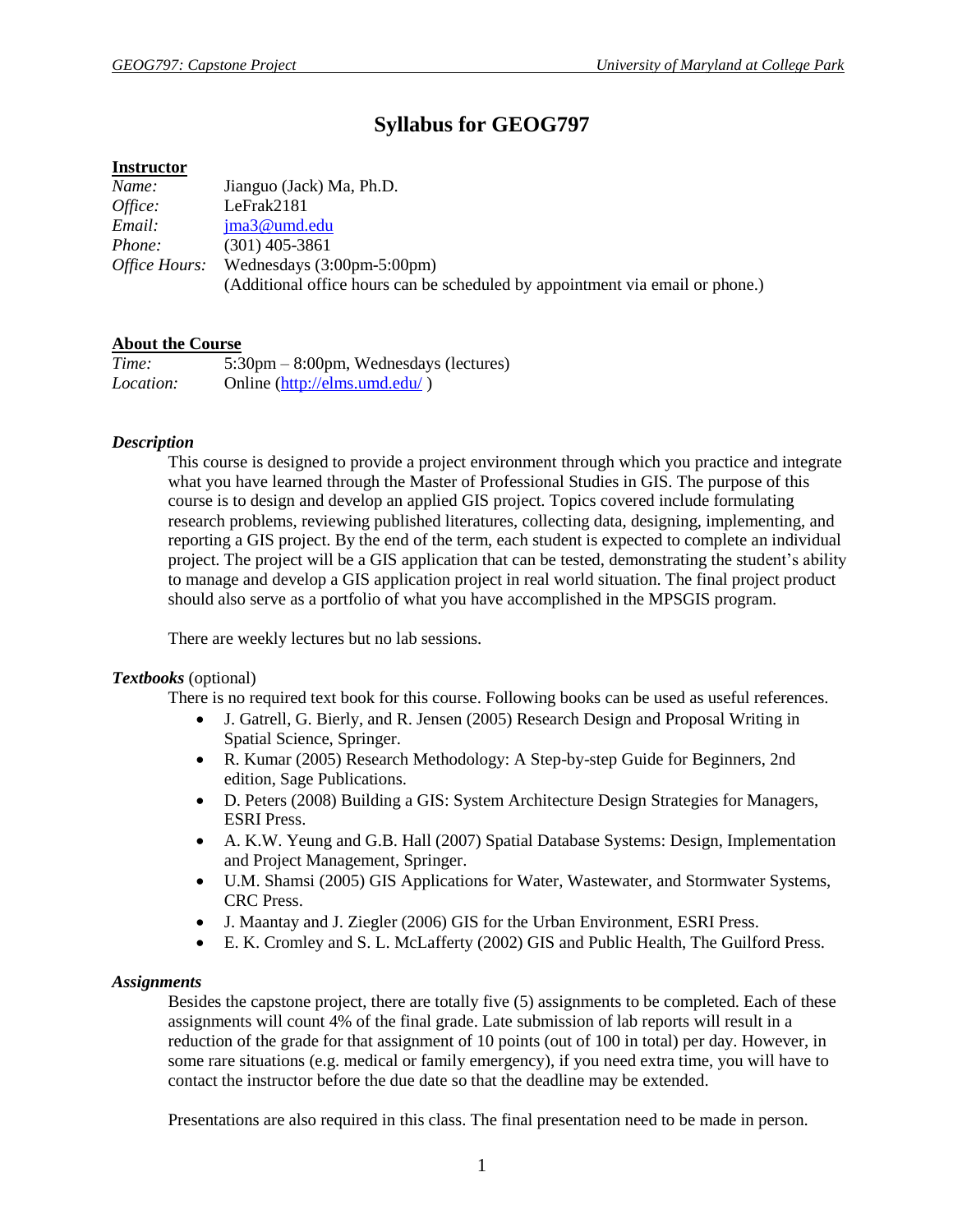# **Syllabus for GEOG797**

## **Instructor**

| Name:                | Jianguo (Jack) Ma, Ph.D.                                                      |
|----------------------|-------------------------------------------------------------------------------|
| Office:              | LeFrak2181                                                                    |
| Email:               | $ima3@$ umd.edu                                                               |
| <i>Phone:</i>        | $(301)$ 405-3861                                                              |
| <i>Office Hours:</i> | Wednesdays $(3:00 \text{pm-}5:00 \text{pm})$                                  |
|                      | (Additional office hours can be scheduled by appointment via email or phone.) |

## **About the Course**

| Time:            | $5:30 \text{pm} - 8:00 \text{pm}$ , Wednesdays (lectures) |
|------------------|-----------------------------------------------------------|
| <i>Location:</i> | Online (http://elms.umd.edu/)                             |

## *Description*

This course is designed to provide a project environment through which you practice and integrate what you have learned through the Master of Professional Studies in GIS. The purpose of this course is to design and develop an applied GIS project. Topics covered include formulating research problems, reviewing published literatures, collecting data, designing, implementing, and reporting a GIS project. By the end of the term, each student is expected to complete an individual project. The project will be a GIS application that can be tested, demonstrating the student's ability to manage and develop a GIS application project in real world situation. The final project product should also serve as a portfolio of what you have accomplished in the MPSGIS program.

There are weekly lectures but no lab sessions.

#### *Textbooks* (optional)

There is no required text book for this course. Following books can be used as useful references.

- J. Gatrell, G. Bierly, and R. Jensen (2005) Research Design and Proposal Writing in Spatial Science, Springer.
- R. Kumar (2005) Research Methodology: A Step-by-step Guide for Beginners, 2nd edition, Sage Publications.
- D. Peters (2008) Building a GIS: System Architecture Design Strategies for Managers, ESRI Press.
- A. K.W. Yeung and G.B. Hall (2007) Spatial Database Systems: Design, Implementation and Project Management, Springer.
- U.M. Shamsi (2005) GIS Applications for Water, Wastewater, and Stormwater Systems, CRC Press.
- J. Maantay and J. Ziegler (2006) GIS for the Urban Environment, ESRI Press.
- E. K. Cromley and S. L. McLafferty (2002) GIS and Public Health, The Guilford Press.

## *Assignments*

Besides the capstone project, there are totally five (5) assignments to be completed. Each of these assignments will count 4% of the final grade. Late submission of lab reports will result in a reduction of the grade for that assignment of 10 points (out of 100 in total) per day. However, in some rare situations (e.g. medical or family emergency), if you need extra time, you will have to contact the instructor before the due date so that the deadline may be extended.

Presentations are also required in this class. The final presentation need to be made in person.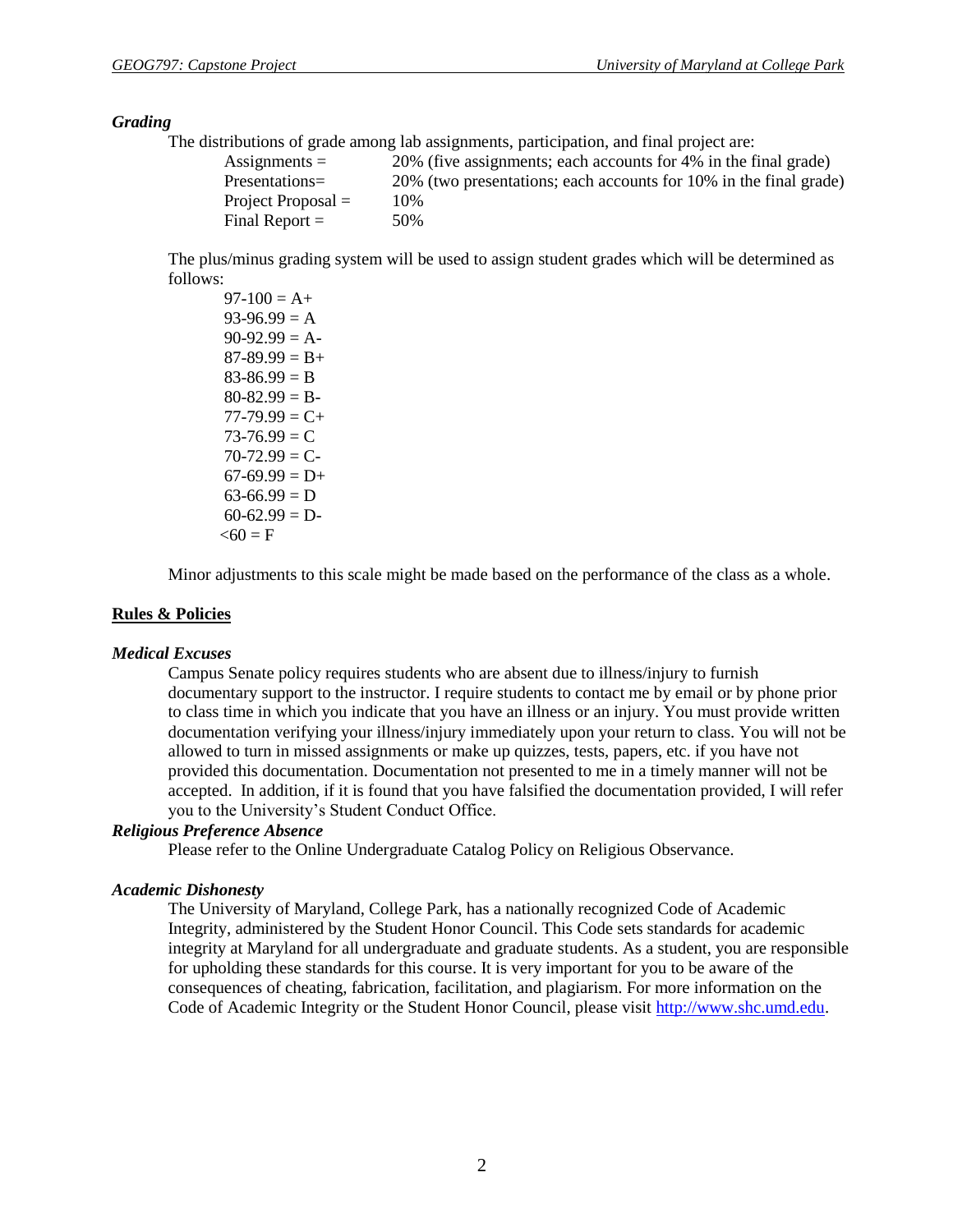#### *Grading*

The distributions of grade among lab assignments, participation, and final project are:

| Assignments $=$      | 20% (five assignments; each accounts for 4% in the final grade)   |
|----------------------|-------------------------------------------------------------------|
| Presentations=       | 20% (two presentations; each accounts for 10% in the final grade) |
| Project Proposal $=$ | 10%                                                               |
| Final Report $=$     | 50%                                                               |

The plus/minus grading system will be used to assign student grades which will be determined as follows:

 $97-100 = A+$  $93-96.99 = A$  $90-92.99 = A$  $87-89.99 = B+$  $83-86.99 = B$  $80-82.99 = B$  $77-79.99 = C +$  $73-76.99 = C$  $70-72.99 = C$  $67-69.99 = D+$  $63-66.99 = D$  $60-62.99 = D$  $< 60 = F$ 

Minor adjustments to this scale might be made based on the performance of the class as a whole.

### **Rules & Policies**

#### *Medical Excuses*

Campus Senate policy requires students who are absent due to illness/injury to furnish documentary support to the instructor. I require students to contact me by email or by phone prior to class time in which you indicate that you have an illness or an injury. You must provide written documentation verifying your illness/injury immediately upon your return to class. You will not be allowed to turn in missed assignments or make up quizzes, tests, papers, etc. if you have not provided this documentation. Documentation not presented to me in a timely manner will not be accepted. In addition, if it is found that you have falsified the documentation provided, I will refer you to the University's Student Conduct Office.

## *Religious Preference Absence*

Please refer to the Online Undergraduate Catalog Policy on Religious Observance.

#### *Academic Dishonesty*

The University of Maryland, College Park, has a nationally recognized Code of Academic Integrity, administered by the Student Honor Council. This Code sets standards for academic integrity at Maryland for all undergraduate and graduate students. As a student, you are responsible for upholding these standards for this course. It is very important for you to be aware of the consequences of cheating, fabrication, facilitation, and plagiarism. For more information on the Code of Academic Integrity or the Student Honor Council, please visit [http://www.shc.umd.edu.](http://www.shc.umd.edu/)